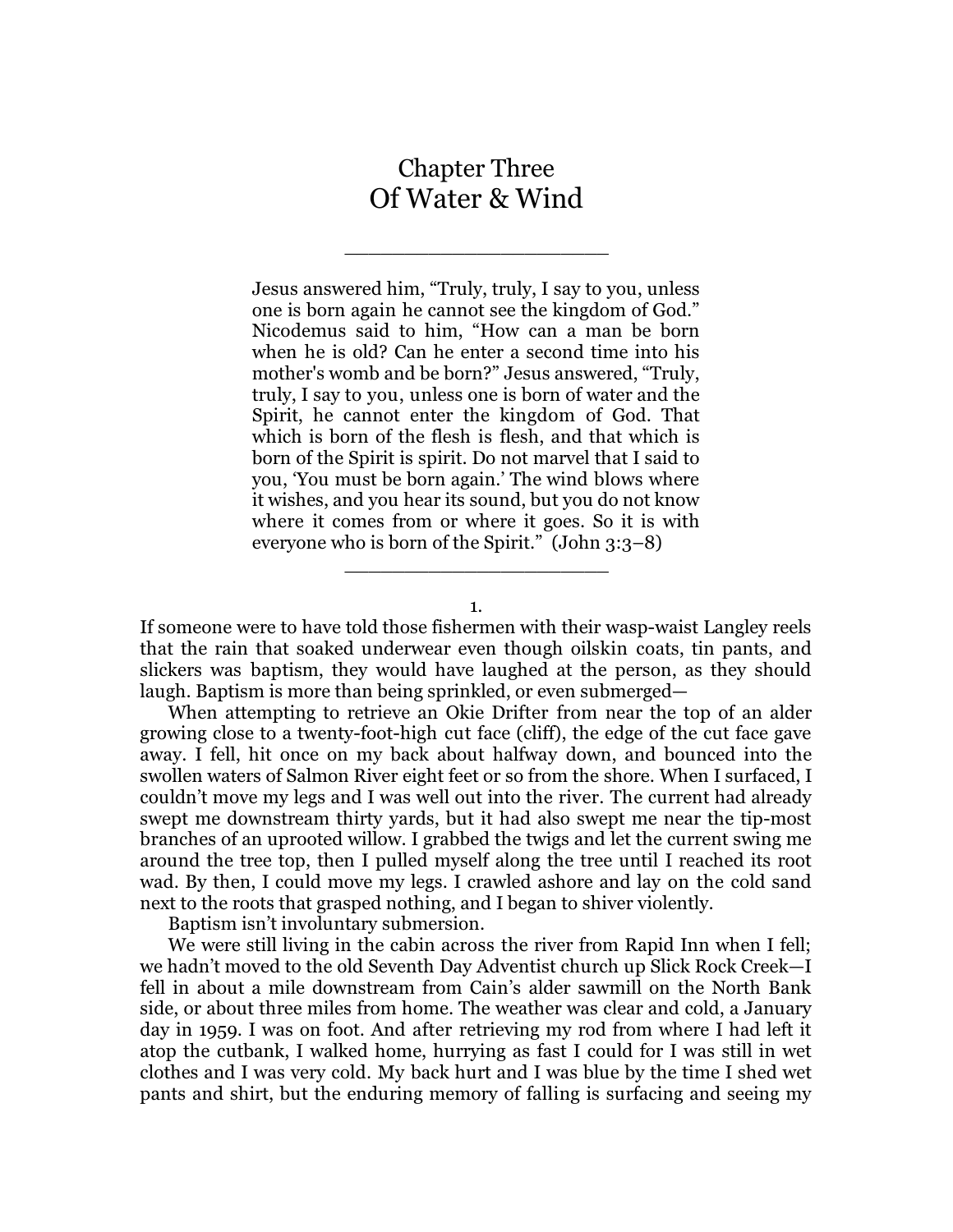## Chapter Three Of Water & Wind

\_\_\_\_\_\_\_\_\_\_\_\_\_\_\_\_\_\_\_\_\_\_

Jesus answered him, "Truly, truly, I say to you, unless one is born again he cannot see the kingdom of God." Nicodemus said to him, "How can a man be born when he is old? Can he enter a second time into his mother's womb and be born?" Jesus answered, "Truly, truly, I say to you, unless one is born of water and the Spirit, he cannot enter the kingdom of God. That which is born of the flesh is flesh, and that which is born of the Spirit is spirit. Do not marvel that I said to you, 'You must be born again.' The wind blows where it wishes, and you hear its sound, but you do not know where it comes from or where it goes. So it is with everyone who is born of the Spirit." (John 3:3–8)

1.

\_\_\_\_\_\_\_\_\_\_\_\_\_\_\_\_\_\_\_\_\_\_

If someone were to have told those fishermen with their wasp-waist Langley reels that the rain that soaked underwear even though oilskin coats, tin pants, and slickers was baptism, they would have laughed at the person, as they should laugh. Baptism is more than being sprinkled, or even submerged—

When attempting to retrieve an Okie Drifter from near the top of an alder growing close to a twenty-foot-high cut face (cliff), the edge of the cut face gave away. I fell, hit once on my back about halfway down, and bounced into the swollen waters of Salmon River eight feet or so from the shore. When I surfaced, I couldn't move my legs and I was well out into the river. The current had already swept me downstream thirty yards, but it had also swept me near the tip-most branches of an uprooted willow. I grabbed the twigs and let the current swing me around the tree top, then I pulled myself along the tree until I reached its root wad. By then, I could move my legs. I crawled ashore and lay on the cold sand next to the roots that grasped nothing, and I began to shiver violently.

Baptism isn't involuntary submersion.

We were still living in the cabin across the river from Rapid Inn when I fell; we hadn't moved to the old Seventh Day Adventist church up Slick Rock Creek—I fell in about a mile downstream from Cain's alder sawmill on the North Bank side, or about three miles from home. The weather was clear and cold, a January day in 1959. I was on foot. And after retrieving my rod from where I had left it atop the cutbank, I walked home, hurrying as fast I could for I was still in wet clothes and I was very cold. My back hurt and I was blue by the time I shed wet pants and shirt, but the enduring memory of falling is surfacing and seeing my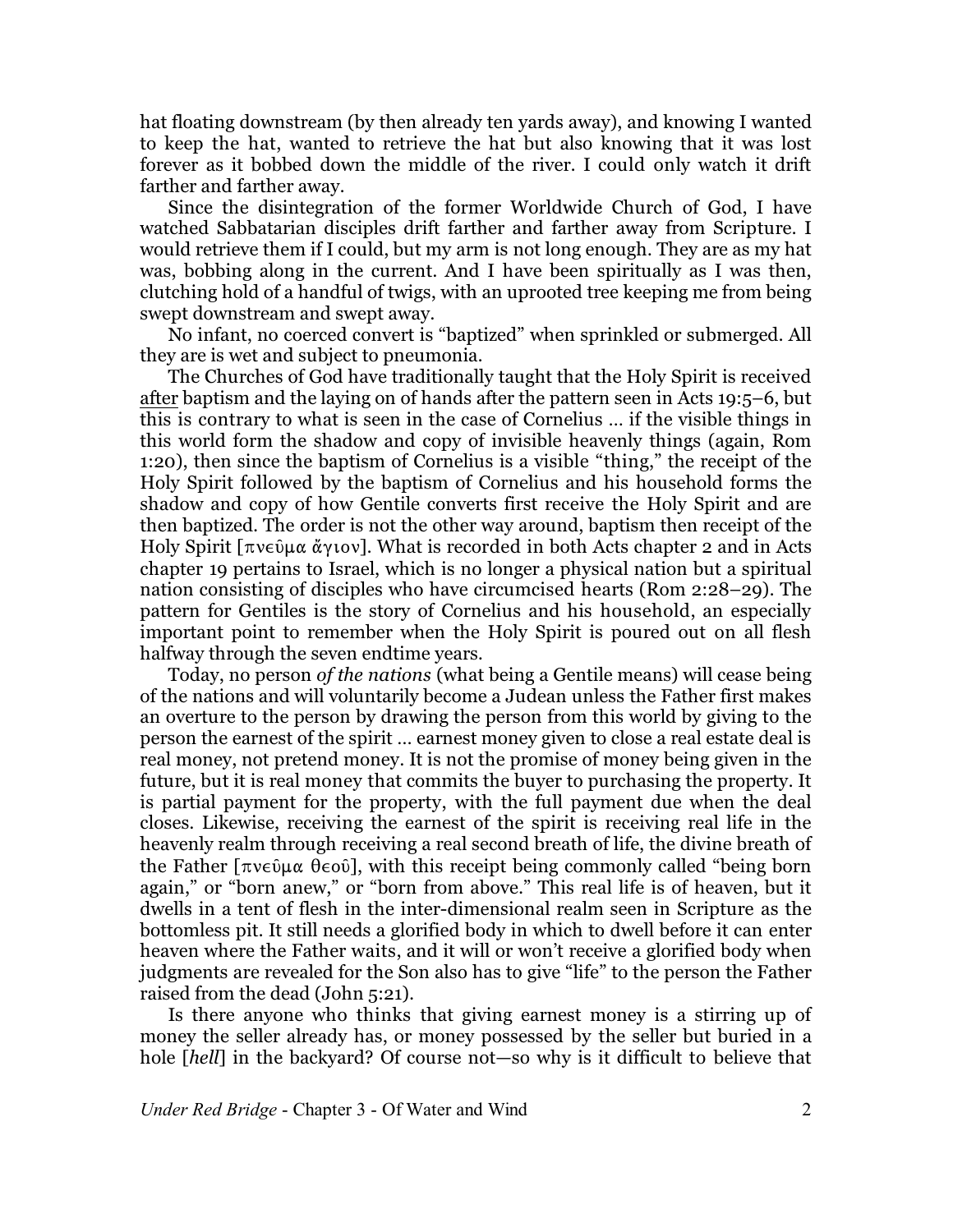hat floating downstream (by then already ten yards away), and knowing I wanted to keep the hat, wanted to retrieve the hat but also knowing that it was lost forever as it bobbed down the middle of the river. I could only watch it drift farther and farther away.

Since the disintegration of the former Worldwide Church of God, I have watched Sabbatarian disciples drift farther and farther away from Scripture. I would retrieve them if I could, but my arm is not long enough. They are as my hat was, bobbing along in the current. And I have been spiritually as I was then, clutching hold of a handful of twigs, with an uprooted tree keeping me from being swept downstream and swept away.

No infant, no coerced convert is "baptized" when sprinkled or submerged. All they are is wet and subject to pneumonia.

The Churches of God have traditionally taught that the Holy Spirit is received after baptism and the laying on of hands after the pattern seen in Acts 19:5–6, but this is contrary to what is seen in the case of Cornelius … if the visible things in this world form the shadow and copy of invisible heavenly things (again, Rom 1:20), then since the baptism of Cornelius is a visible "thing," the receipt of the Holy Spirit followed by the baptism of Cornelius and his household forms the shadow and copy of how Gentile converts first receive the Holy Spirit and are then baptized. The order is not the other way around, baptism then receipt of the Holy Spirit [ $\pi$ νεῦμα ἄγιον]. What is recorded in both Acts chapter 2 and in Acts chapter 19 pertains to Israel, which is no longer a physical nation but a spiritual nation consisting of disciples who have circumcised hearts (Rom 2:28–29). The pattern for Gentiles is the story of Cornelius and his household, an especially important point to remember when the Holy Spirit is poured out on all flesh halfway through the seven endtime years.

Today, no person *of the nations* (what being a Gentile means) will cease being of the nations and will voluntarily become a Judean unless the Father first makes an overture to the person by drawing the person from this world by giving to the person the earnest of the spirit … earnest money given to close a real estate deal is real money, not pretend money. It is not the promise of money being given in the future, but it is real money that commits the buyer to purchasing the property. It is partial payment for the property, with the full payment due when the deal closes. Likewise, receiving the earnest of the spirit is receiving real life in the heavenly realm through receiving a real second breath of life, the divine breath of the Father  $[\pi v \in \hat{\mathfrak{g}} \times \hat{\mathfrak{g}} \times \hat{\mathfrak{g}}]$ , with this receipt being commonly called "being born again," or "born anew," or "born from above." This real life is of heaven, but it dwells in a tent of flesh in the inter-dimensional realm seen in Scripture as the bottomless pit. It still needs a glorified body in which to dwell before it can enter heaven where the Father waits, and it will or won't receive a glorified body when judgments are revealed for the Son also has to give "life" to the person the Father raised from the dead (John 5:21).

Is there anyone who thinks that giving earnest money is a stirring up of money the seller already has, or money possessed by the seller but buried in a hole [*hell*] in the backyard? Of course not—so why is it difficult to believe that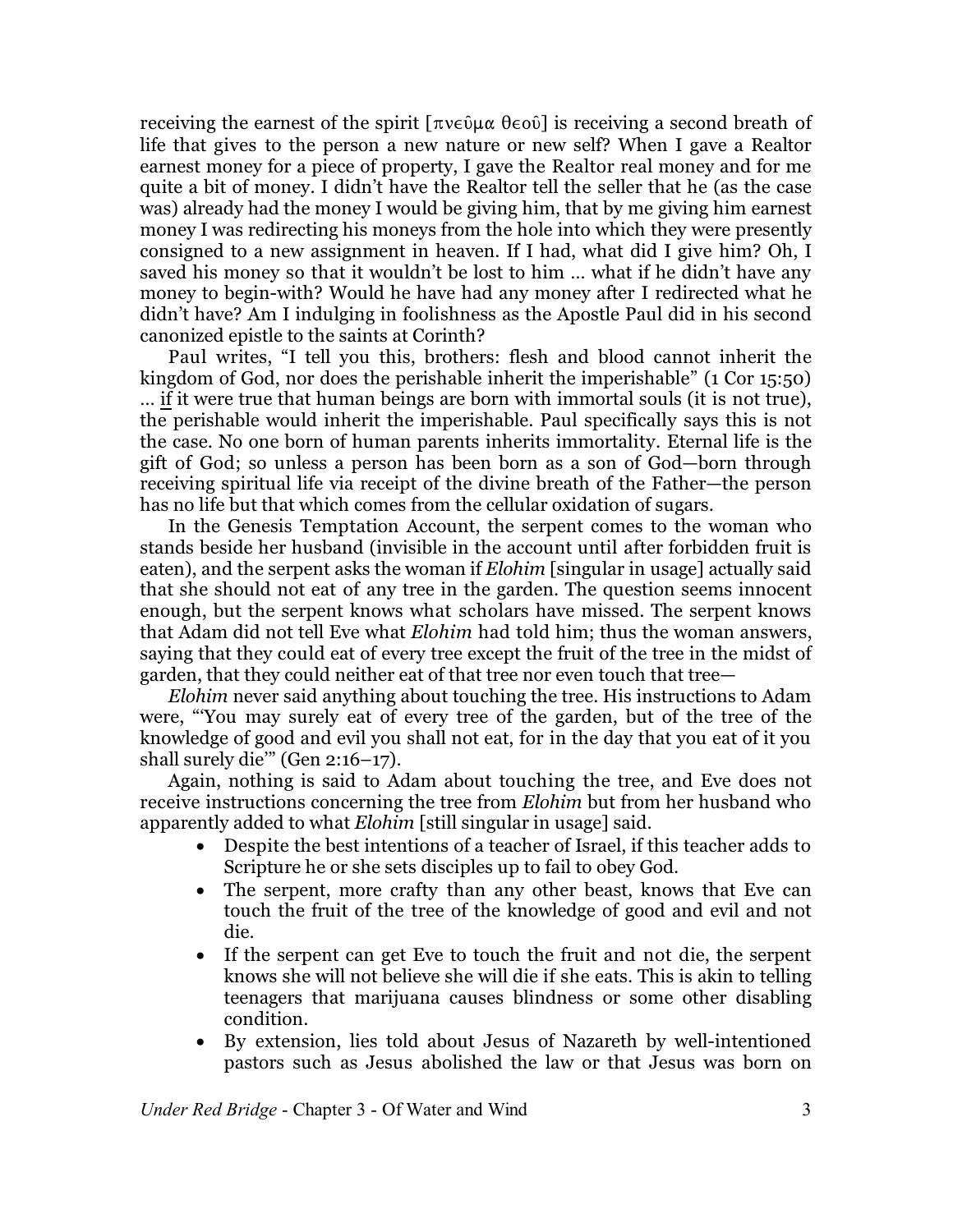receiving the earnest of the spirit  $[\pi v \in \hat{\mathfrak{g}} \times \hat{\mathfrak{g}} \times \hat{\mathfrak{g}}]$  is receiving a second breath of life that gives to the person a new nature or new self? When I gave a Realtor earnest money for a piece of property, I gave the Realtor real money and for me quite a bit of money. I didn't have the Realtor tell the seller that he (as the case was) already had the money I would be giving him, that by me giving him earnest money I was redirecting his moneys from the hole into which they were presently consigned to a new assignment in heaven. If I had, what did I give him? Oh, I saved his money so that it wouldn't be lost to him … what if he didn't have any money to begin-with? Would he have had any money after I redirected what he didn't have? Am I indulging in foolishness as the Apostle Paul did in his second canonized epistle to the saints at Corinth?

Paul writes, "I tell you this, brothers: flesh and blood cannot inherit the kingdom of God, nor does the perishable inherit the imperishable" (1 Cor 15:50) … if it were true that human beings are born with immortal souls (it is not true), the perishable would inherit the imperishable. Paul specifically says this is not the case. No one born of human parents inherits immortality. Eternal life is the gift of God; so unless a person has been born as a son of God—born through receiving spiritual life via receipt of the divine breath of the Father—the person has no life but that which comes from the cellular oxidation of sugars.

In the Genesis Temptation Account, the serpent comes to the woman who stands beside her husband (invisible in the account until after forbidden fruit is eaten), and the serpent asks the woman if *Elohim* [singular in usage] actually said that she should not eat of any tree in the garden. The question seems innocent enough, but the serpent knows what scholars have missed. The serpent knows that Adam did not tell Eve what *Elohim* had told him; thus the woman answers, saying that they could eat of every tree except the fruit of the tree in the midst of garden, that they could neither eat of that tree nor even touch that tree—

*Elohim* never said anything about touching the tree. His instructions to Adam were, "'You may surely eat of every tree of the garden, but of the tree of the knowledge of good and evil you shall not eat, for in the day that you eat of it you shall surely die'" (Gen 2:16–17).

Again, nothing is said to Adam about touching the tree, and Eve does not receive instructions concerning the tree from *Elohim* but from her husband who apparently added to what *Elohim* [still singular in usage] said.

- · Despite the best intentions of a teacher of Israel, if this teacher adds to Scripture he or she sets disciples up to fail to obey God.
- The serpent, more crafty than any other beast, knows that Eve can touch the fruit of the tree of the knowledge of good and evil and not die.
- · If the serpent can get Eve to touch the fruit and not die, the serpent knows she will not believe she will die if she eats. This is akin to telling teenagers that marijuana causes blindness or some other disabling condition.
- · By extension, lies told about Jesus of Nazareth by well-intentioned pastors such as Jesus abolished the law or that Jesus was born on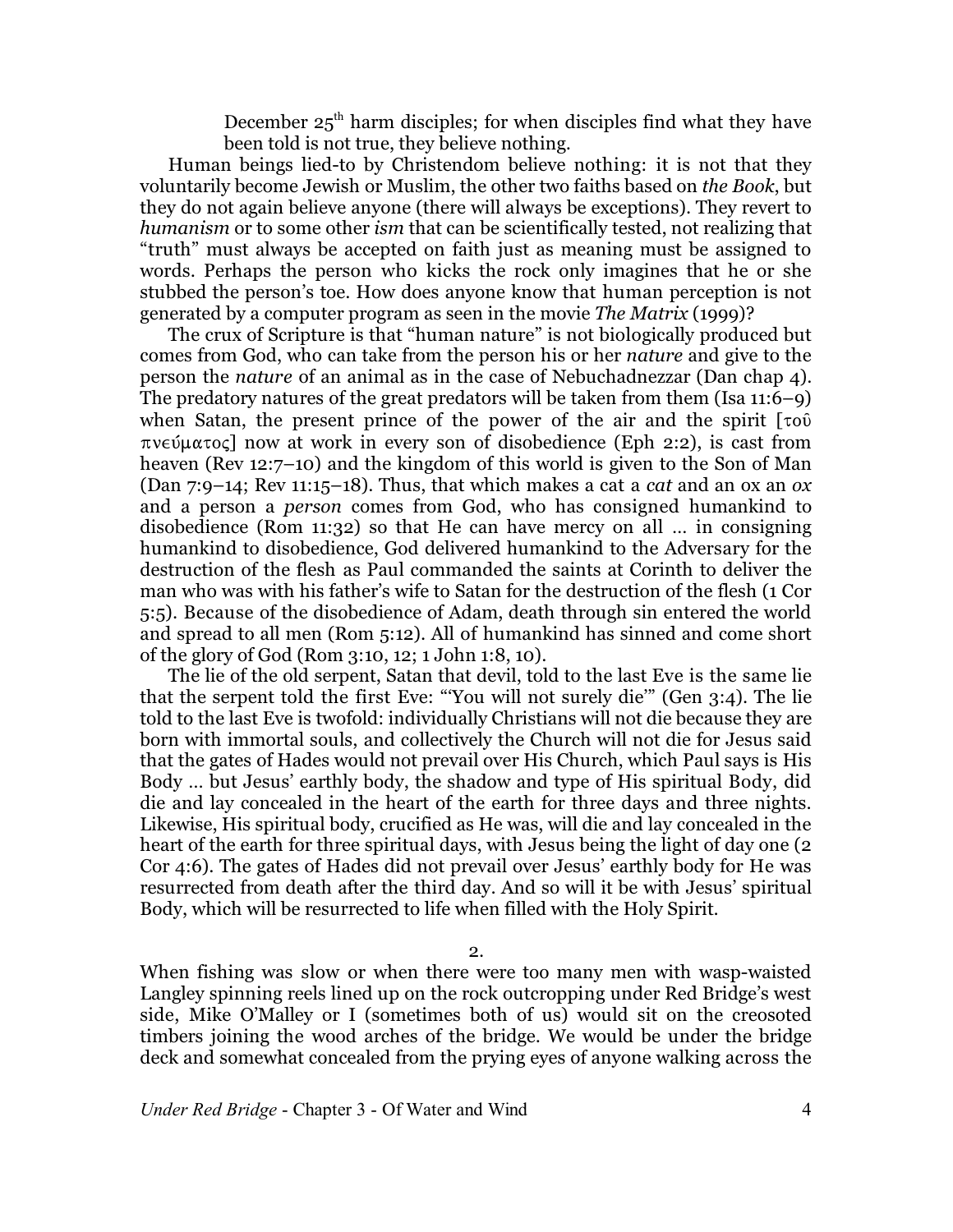December  $25<sup>th</sup>$  harm disciples; for when disciples find what they have been told is not true, they believe nothing.

Human beings lied-to by Christendom believe nothing: it is not that they voluntarily become Jewish or Muslim, the other two faiths based on *the Book*, but they do not again believe anyone (there will always be exceptions). They revert to *humanism* or to some other *ism* that can be scientifically tested, not realizing that "truth" must always be accepted on faith just as meaning must be assigned to words. Perhaps the person who kicks the rock only imagines that he or she stubbed the person's toe. How does anyone know that human perception is not generated by a computer program as seen in the movie *The Matrix* (1999)?

The crux of Scripture is that "human nature" is not biologically produced but comes from God, who can take from the person his or her *nature* and give to the person the *nature* of an animal as in the case of Nebuchadnezzar (Dan chap 4). The predatory natures of the great predators will be taken from them (Isa 11:6–9) when Satan, the present prince of the power of the air and the spirit  $\lceil \tau \circ \hat{v} \rceil$  $\pi$ v $\in$  $\mu$  $\alpha$  $\tau$  $\circ$  $\in$  now at work in every son of disobedience (Eph 2:2), is cast from heaven (Rev 12:7–10) and the kingdom of this world is given to the Son of Man (Dan 7:9–14; Rev 11:15–18). Thus, that which makes a cat a *cat* and an ox an *ox* and a person a *person* comes from God, who has consigned humankind to disobedience (Rom 11:32) so that He can have mercy on all … in consigning humankind to disobedience, God delivered humankind to the Adversary for the destruction of the flesh as Paul commanded the saints at Corinth to deliver the man who was with his father's wife to Satan for the destruction of the flesh (1 Cor 5:5). Because of the disobedience of Adam, death through sin entered the world and spread to all men (Rom 5:12). All of humankind has sinned and come short of the glory of God (Rom 3:10, 12; 1 John 1:8, 10).

The lie of the old serpent, Satan that devil, told to the last Eve is the same lie that the serpent told the first Eve: "'You will not surely die'" (Gen 3:4). The lie told to the last Eve is twofold: individually Christians will not die because they are born with immortal souls, and collectively the Church will not die for Jesus said that the gates of Hades would not prevail over His Church, which Paul says is His Body … but Jesus' earthly body, the shadow and type of His spiritual Body, did die and lay concealed in the heart of the earth for three days and three nights. Likewise, His spiritual body, crucified as He was, will die and lay concealed in the heart of the earth for three spiritual days, with Jesus being the light of day one (2 Cor 4:6). The gates of Hades did not prevail over Jesus' earthly body for He was resurrected from death after the third day. And so will it be with Jesus' spiritual Body, which will be resurrected to life when filled with the Holy Spirit.

2.

When fishing was slow or when there were too many men with wasp-waisted Langley spinning reels lined up on the rock outcropping under Red Bridge's west side, Mike O'Malley or I (sometimes both of us) would sit on the creosoted timbers joining the wood arches of the bridge. We would be under the bridge deck and somewhat concealed from the prying eyes of anyone walking across the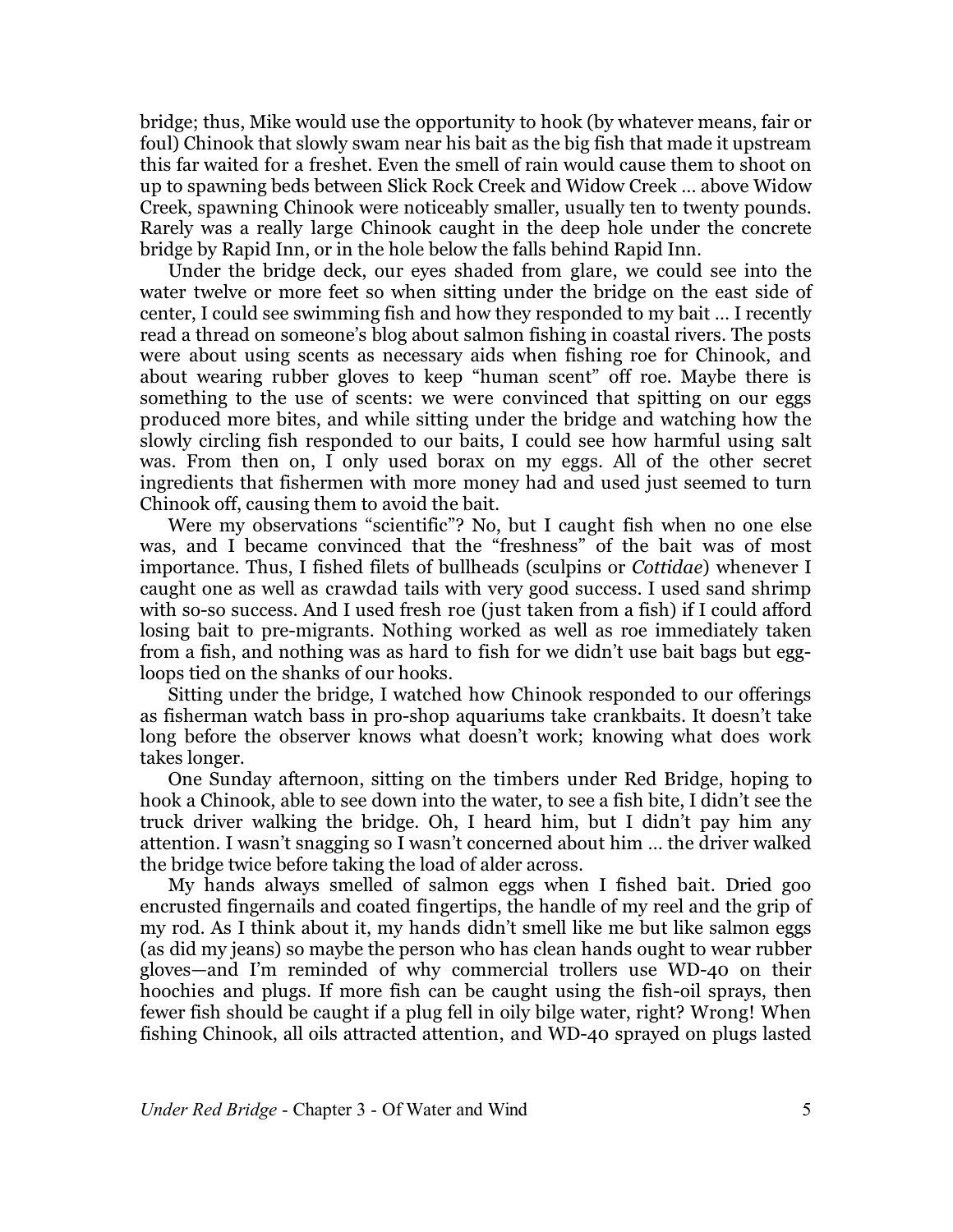bridge; thus, Mike would use the opportunity to hook (by whatever means, fair or foul) Chinook that slowly swam near his bait as the big fish that made it upstream this far waited for a freshet. Even the smell of rain would cause them to shoot on up to spawning beds between Slick Rock Creek and Widow Creek … above Widow Creek, spawning Chinook were noticeably smaller, usually ten to twenty pounds. Rarely was a really large Chinook caught in the deep hole under the concrete bridge by Rapid Inn, or in the hole below the falls behind Rapid Inn.

Under the bridge deck, our eyes shaded from glare, we could see into the water twelve or more feet so when sitting under the bridge on the east side of center, I could see swimming fish and how they responded to my bait … I recently read a thread on someone's blog about salmon fishing in coastal rivers. The posts were about using scents as necessary aids when fishing roe for Chinook, and about wearing rubber gloves to keep "human scent" off roe. Maybe there is something to the use of scents: we were convinced that spitting on our eggs produced more bites, and while sitting under the bridge and watching how the slowly circling fish responded to our baits, I could see how harmful using salt was. From then on, I only used borax on my eggs. All of the other secret ingredients that fishermen with more money had and used just seemed to turn Chinook off, causing them to avoid the bait.

Were my observations "scientific"? No, but I caught fish when no one else was, and I became convinced that the "freshness" of the bait was of most importance. Thus, I fished filets of bullheads (sculpins or *Cottidae*) whenever I caught one as well as crawdad tails with very good success. I used sand shrimp with so-so success. And I used fresh roe (just taken from a fish) if I could afford losing bait to pre-migrants. Nothing worked as well as roe immediately taken from a fish, and nothing was as hard to fish for we didn't use bait bags but eggloops tied on the shanks of our hooks.

Sitting under the bridge, I watched how Chinook responded to our offerings as fisherman watch bass in pro-shop aquariums take crankbaits. It doesn't take long before the observer knows what doesn't work; knowing what does work takes longer.

One Sunday afternoon, sitting on the timbers under Red Bridge, hoping to hook a Chinook, able to see down into the water, to see a fish bite, I didn't see the truck driver walking the bridge. Oh, I heard him, but I didn't pay him any attention. I wasn't snagging so I wasn't concerned about him … the driver walked the bridge twice before taking the load of alder across.

My hands always smelled of salmon eggs when I fished bait. Dried goo encrusted fingernails and coated fingertips, the handle of my reel and the grip of my rod. As I think about it, my hands didn't smell like me but like salmon eggs (as did my jeans) so maybe the person who has clean hands ought to wear rubber gloves—and I'm reminded of why commercial trollers use WD-40 on their hoochies and plugs. If more fish can be caught using the fish-oil sprays, then fewer fish should be caught if a plug fell in oily bilge water, right? Wrong! When fishing Chinook, all oils attracted attention, and WD-40 sprayed on plugs lasted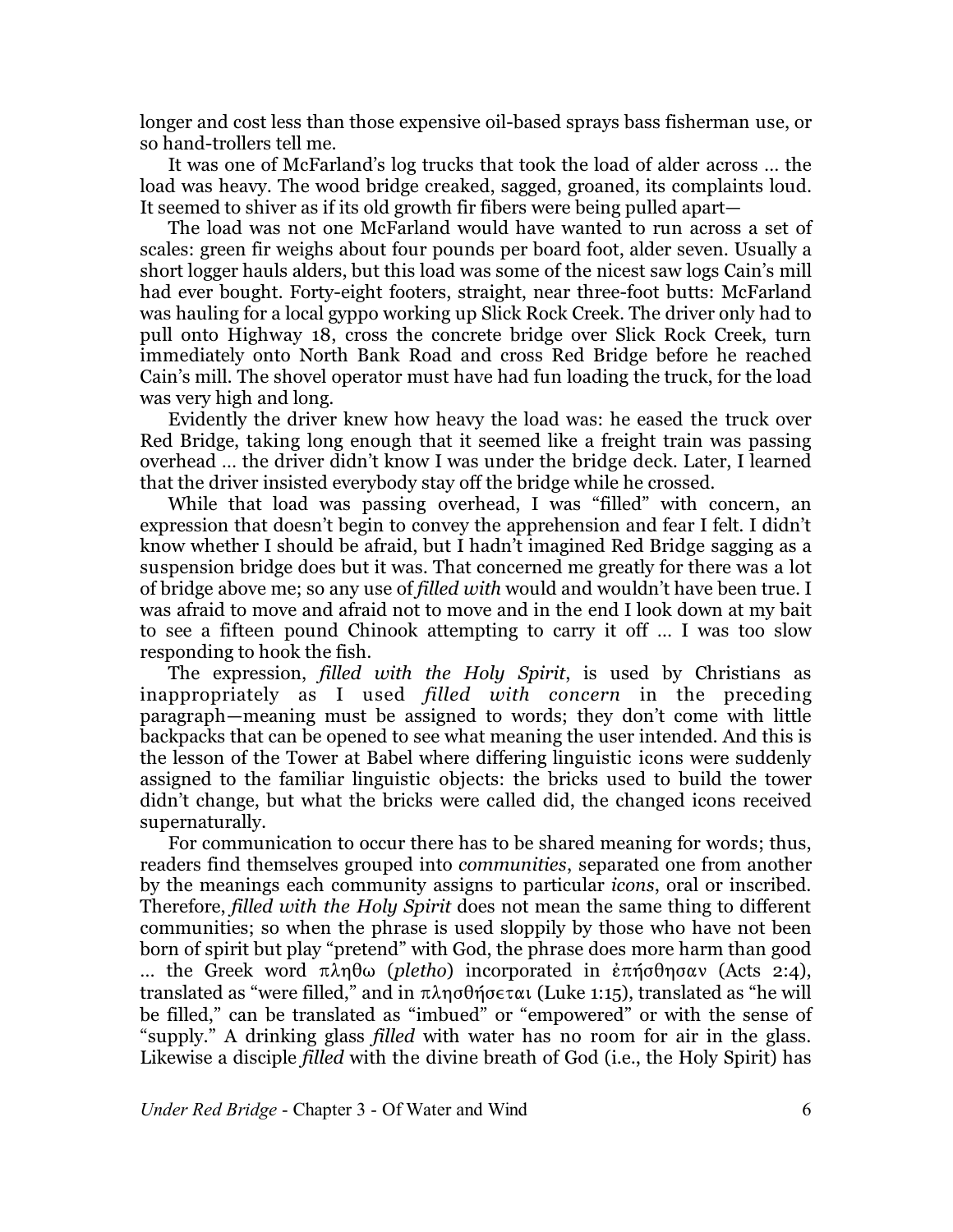longer and cost less than those expensive oil-based sprays bass fisherman use, or so hand-trollers tell me.

It was one of McFarland's log trucks that took the load of alder across … the load was heavy. The wood bridge creaked, sagged, groaned, its complaints loud. It seemed to shiver as if its old growth fir fibers were being pulled apart—

The load was not one McFarland would have wanted to run across a set of scales: green fir weighs about four pounds per board foot, alder seven. Usually a short logger hauls alders, but this load was some of the nicest saw logs Cain's mill had ever bought. Forty-eight footers, straight, near three-foot butts: McFarland was hauling for a local gyppo working up Slick Rock Creek. The driver only had to pull onto Highway 18, cross the concrete bridge over Slick Rock Creek, turn immediately onto North Bank Road and cross Red Bridge before he reached Cain's mill. The shovel operator must have had fun loading the truck, for the load was very high and long.

Evidently the driver knew how heavy the load was: he eased the truck over Red Bridge, taking long enough that it seemed like a freight train was passing overhead … the driver didn't know I was under the bridge deck. Later, I learned that the driver insisted everybody stay off the bridge while he crossed.

While that load was passing overhead, I was "filled" with concern, an expression that doesn't begin to convey the apprehension and fear I felt. I didn't know whether I should be afraid, but I hadn't imagined Red Bridge sagging as a suspension bridge does but it was. That concerned me greatly for there was a lot of bridge above me; so any use of *filled with* would and wouldn't have been true. I was afraid to move and afraid not to move and in the end I look down at my bait to see a fifteen pound Chinook attempting to carry it off … I was too slow responding to hook the fish.

The expression, *filled with the Holy Spirit*, is used by Christians as inappropriately as I used *filled with concern* in the preceding paragraph—meaning must be assigned to words; they don't come with little backpacks that can be opened to see what meaning the user intended. And this is the lesson of the Tower at Babel where differing linguistic icons were suddenly assigned to the familiar linguistic objects: the bricks used to build the tower didn't change, but what the bricks were called did, the changed icons received supernaturally.

For communication to occur there has to be shared meaning for words; thus, readers find themselves grouped into *communities*, separated one from another by the meanings each community assigns to particular *icons*, oral or inscribed. Therefore, *filled with the Holy Spirit* does not mean the same thing to different communities; so when the phrase is used sloppily by those who have not been born of spirit but play "pretend" with God, the phrase does more harm than good  $\ldots$  the Greek word πληθω (*pletho*) incorporated in *επήσθησαν* (Acts 2:4), translated as "were filled," and in  $\pi \lambda \eta \sigma \theta \eta \sigma \epsilon \tau \alpha$  (Luke 1:15), translated as "he will be filled," can be translated as "imbued" or "empowered" or with the sense of "supply." A drinking glass *filled* with water has no room for air in the glass. Likewise a disciple *filled* with the divine breath of God (i.e., the Holy Spirit) has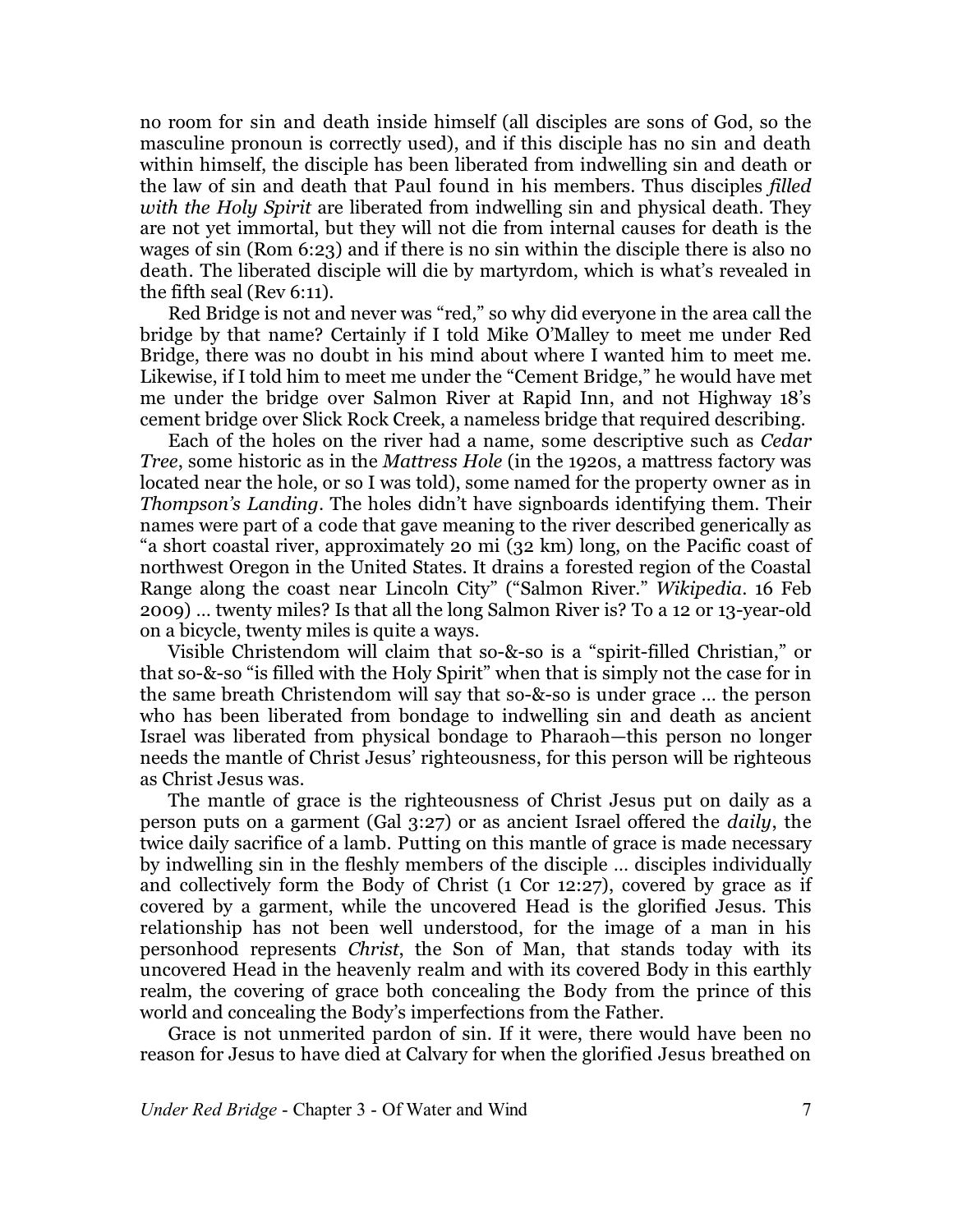no room for sin and death inside himself (all disciples are sons of God, so the masculine pronoun is correctly used), and if this disciple has no sin and death within himself, the disciple has been liberated from indwelling sin and death or the law of sin and death that Paul found in his members. Thus disciples *filled with the Holy Spirit* are liberated from indwelling sin and physical death. They are not yet immortal, but they will not die from internal causes for death is the wages of sin (Rom 6:23) and if there is no sin within the disciple there is also no death. The liberated disciple will die by martyrdom, which is what's revealed in the fifth seal (Rev 6:11).

Red Bridge is not and never was "red," so why did everyone in the area call the bridge by that name? Certainly if I told Mike O'Malley to meet me under Red Bridge, there was no doubt in his mind about where I wanted him to meet me. Likewise, if I told him to meet me under the "Cement Bridge," he would have met me under the bridge over Salmon River at Rapid Inn, and not Highway 18's cement bridge over Slick Rock Creek, a nameless bridge that required describing.

Each of the holes on the river had a name, some descriptive such as *Cedar Tree*, some historic as in the *Mattress Hole* (in the 1920s, a mattress factory was located near the hole, or so I was told), some named for the property owner as in *Thompson's Landing*. The holes didn't have signboards identifying them. Their names were part of a code that gave meaning to the river described generically as "a short coastal river, approximately 20 mi (32 km) long, on the Pacific coast of northwest Oregon in the United States. It drains a forested region of the Coastal Range along the coast near Lincoln City" ("Salmon River." *Wikipedia*. 16 Feb 2009) … twenty miles? Is that all the long Salmon River is? To a 12 or 13-year-old on a bicycle, twenty miles is quite a ways.

Visible Christendom will claim that so-&-so is a "spirit-filled Christian," or that so-&-so "is filled with the Holy Spirit" when that is simply not the case for in the same breath Christendom will say that so-&-so is under grace … the person who has been liberated from bondage to indwelling sin and death as ancient Israel was liberated from physical bondage to Pharaoh—this person no longer needs the mantle of Christ Jesus' righteousness, for this person will be righteous as Christ Jesus was.

The mantle of grace is the righteousness of Christ Jesus put on daily as a person puts on a garment (Gal 3:27) or as ancient Israel offered the *daily*, the twice daily sacrifice of a lamb. Putting on this mantle of grace is made necessary by indwelling sin in the fleshly members of the disciple … disciples individually and collectively form the Body of Christ (1 Cor 12:27), covered by grace as if covered by a garment, while the uncovered Head is the glorified Jesus. This relationship has not been well understood, for the image of a man in his personhood represents *Christ*, the Son of Man, that stands today with its uncovered Head in the heavenly realm and with its covered Body in this earthly realm, the covering of grace both concealing the Body from the prince of this world and concealing the Body's imperfections from the Father.

Grace is not unmerited pardon of sin. If it were, there would have been no reason for Jesus to have died at Calvary for when the glorified Jesus breathed on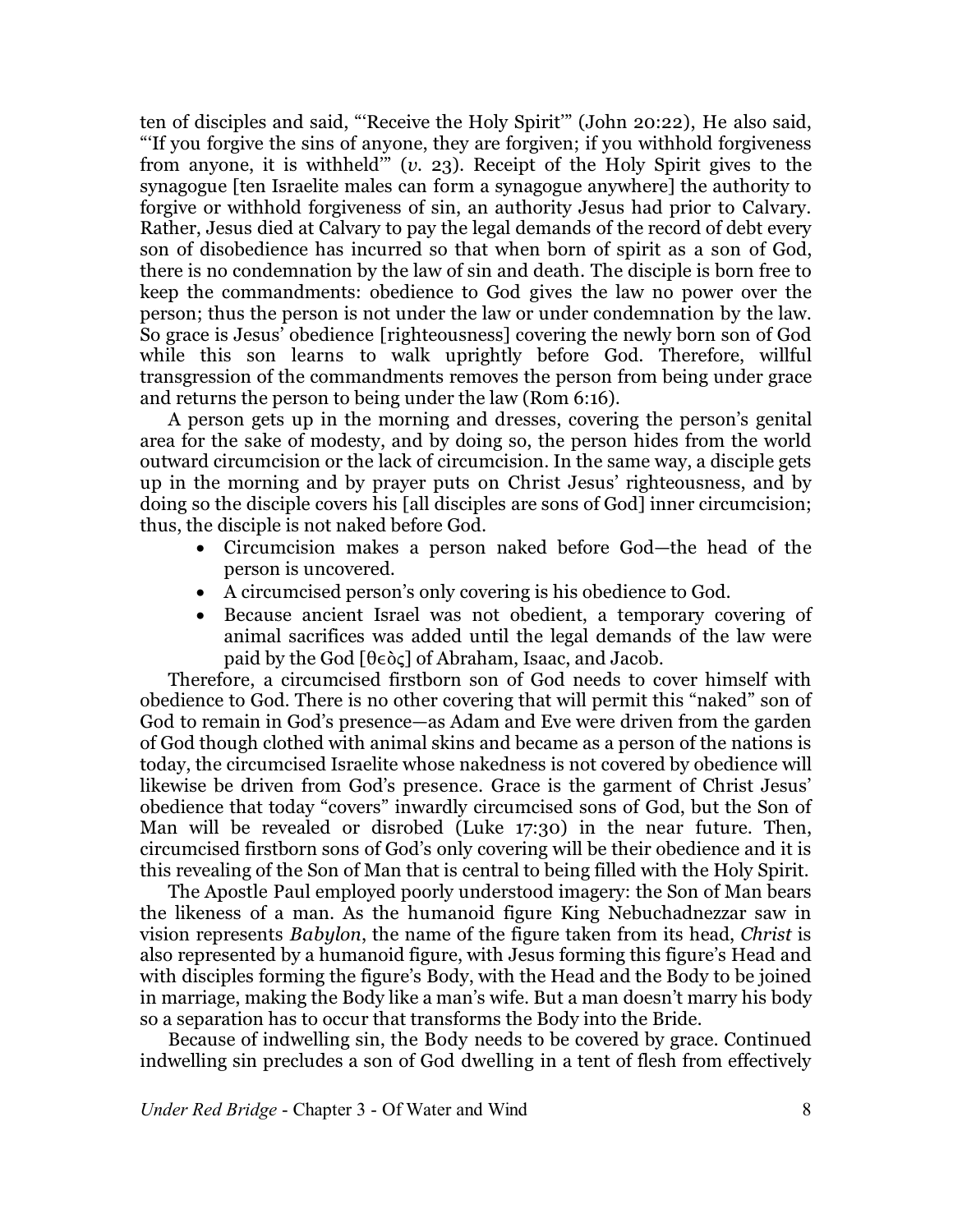ten of disciples and said, "'Receive the Holy Spirit'" (John 20:22), He also said, "'If you forgive the sins of anyone, they are forgiven; if you withhold forgiveness from anyone, it is withheld'" (*v.* 23). Receipt of the Holy Spirit gives to the synagogue [ten Israelite males can form a synagogue anywhere] the authority to forgive or withhold forgiveness of sin, an authority Jesus had prior to Calvary. Rather, Jesus died at Calvary to pay the legal demands of the record of debt every son of disobedience has incurred so that when born of spirit as a son of God, there is no condemnation by the law of sin and death. The disciple is born free to keep the commandments: obedience to God gives the law no power over the person; thus the person is not under the law or under condemnation by the law. So grace is Jesus' obedience [righteousness] covering the newly born son of God while this son learns to walk uprightly before God. Therefore, willful transgression of the commandments removes the person from being under grace and returns the person to being under the law (Rom 6:16).

A person gets up in the morning and dresses, covering the person's genital area for the sake of modesty, and by doing so, the person hides from the world outward circumcision or the lack of circumcision. In the same way, a disciple gets up in the morning and by prayer puts on Christ Jesus' righteousness, and by doing so the disciple covers his [all disciples are sons of God] inner circumcision; thus, the disciple is not naked before God.

- · Circumcision makes a person naked before God—the head of the person is uncovered.
- A circumcised person's only covering is his obedience to God.
- · Because ancient Israel was not obedient, a temporary covering of animal sacrifices was added until the legal demands of the law were paid by the God  $[\theta \in \delta \varsigma]$  of Abraham, Isaac, and Jacob.

Therefore, a circumcised firstborn son of God needs to cover himself with obedience to God. There is no other covering that will permit this "naked" son of God to remain in God's presence—as Adam and Eve were driven from the garden of God though clothed with animal skins and became as a person of the nations is today, the circumcised Israelite whose nakedness is not covered by obedience will likewise be driven from God's presence. Grace is the garment of Christ Jesus' obedience that today "covers" inwardly circumcised sons of God, but the Son of Man will be revealed or disrobed (Luke 17:30) in the near future. Then, circumcised firstborn sons of God's only covering will be their obedience and it is this revealing of the Son of Man that is central to being filled with the Holy Spirit.

The Apostle Paul employed poorly understood imagery: the Son of Man bears the likeness of a man. As the humanoid figure King Nebuchadnezzar saw in vision represents *Babylon*, the name of the figure taken from its head, *Christ* is also represented by a humanoid figure, with Jesus forming this figure's Head and with disciples forming the figure's Body, with the Head and the Body to be joined in marriage, making the Body like a man's wife. But a man doesn't marry his body so a separation has to occur that transforms the Body into the Bride.

Because of indwelling sin, the Body needs to be covered by grace. Continued indwelling sin precludes a son of God dwelling in a tent of flesh from effectively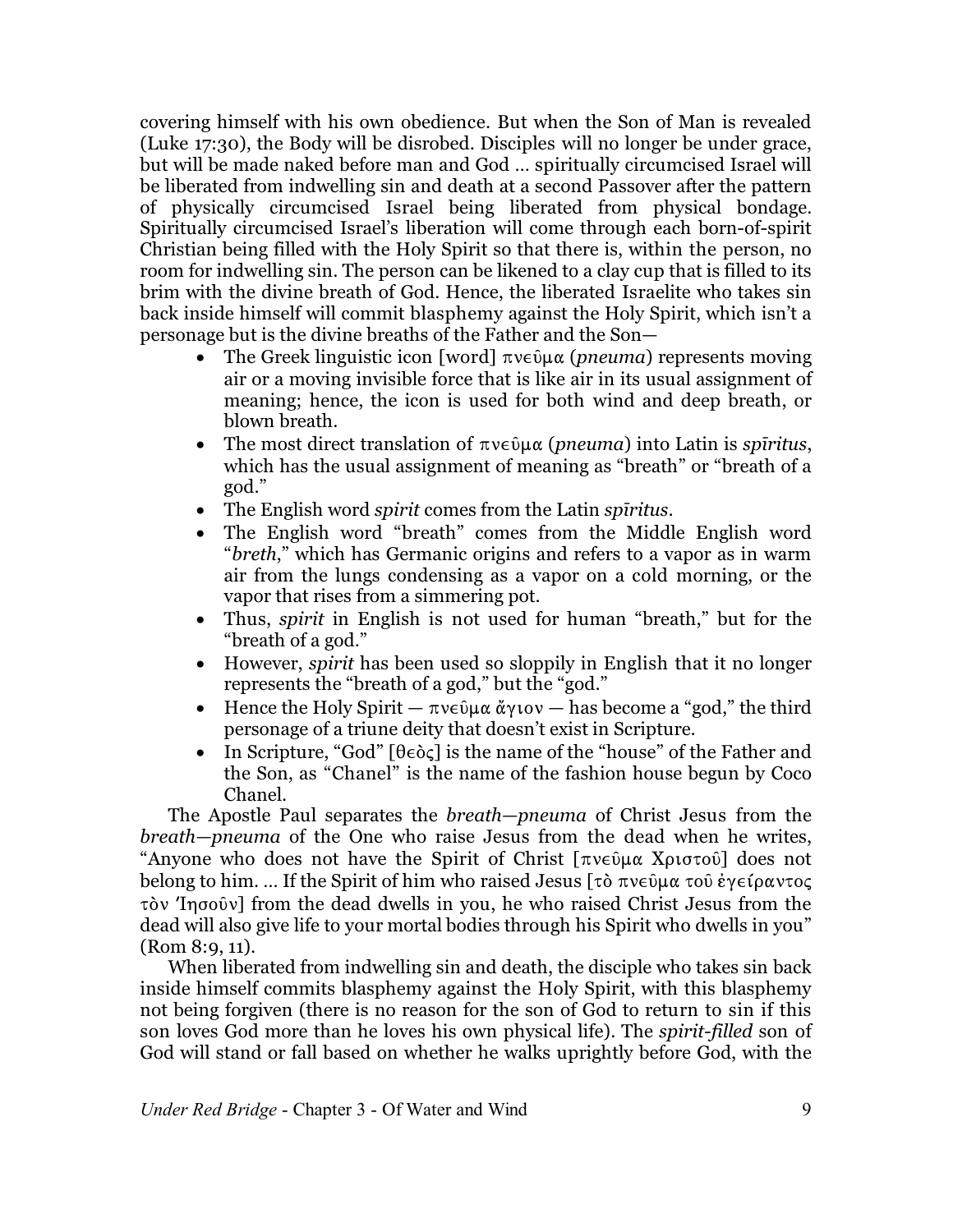covering himself with his own obedience. But when the Son of Man is revealed (Luke 17:30), the Body will be disrobed. Disciples will no longer be under grace, but will be made naked before man and God … spiritually circumcised Israel will be liberated from indwelling sin and death at a second Passover after the pattern of physically circumcised Israel being liberated from physical bondage. Spiritually circumcised Israel's liberation will come through each born-of-spirit Christian being filled with the Holy Spirit so that there is, within the person, no room for indwelling sin. The person can be likened to a clay cup that is filled to its brim with the divine breath of God. Hence, the liberated Israelite who takes sin back inside himself will commit blasphemy against the Holy Spirit, which isn't a personage but is the divine breaths of the Father and the Son—

- The Greek linguistic icon [word]  $\pi v \in \mathfrak{g}(\mu\alpha)$  *(pneuma)* represents moving air or a moving invisible force that is like air in its usual assignment of meaning; hence, the icon is used for both wind and deep breath, or blown breath.
- The most direct translation of  $\pi v \in \mathfrak{D} \mu \alpha$  (*pneuma*) into Latin is *spiritus*, which has the usual assignment of meaning as "breath" or "breath of a god."
- · The English word *spirit* comes from the Latin *spîritus*.
- · The English word "breath" comes from the Middle English word "*breth*," which has Germanic origins and refers to a vapor as in warm air from the lungs condensing as a vapor on a cold morning, or the vapor that rises from a simmering pot.
- · Thus, *spirit* in English is not used for human "breath," but for the "breath of a god."
- · However, *spirit* has been used so sloppily in English that it no longer represents the "breath of a god," but the "god."
- Hence the Holy Spirit  $-\pi v \in \hat{\mathfrak{g}} \mu \alpha \alpha \gamma$  (view  $-\alpha$  as become a "god," the third personage of a triune deity that doesn't exist in Scripture.
- In Scripture, "God"  $[\theta \in \delta \infty]$  is the name of the "house" of the Father and the Son, as "Chanel" is the name of the fashion house begun by Coco Chanel.

The Apostle Paul separates the *breath—pneuma* of Christ Jesus from the *breath—pneuma* of the One who raise Jesus from the dead when he writes, "Anyone who does not have the Spirit of Christ  $[\pi v \in \mathfrak{g} \times \mathfrak{g} \times \mathfrak{g} \times \mathfrak{g} \times \mathfrak{g}]$  does not belong to him. ... If the Spirit of him who raised Jesus  $\lceil \tau \delta \pi v \epsilon \hat{v} \mu \alpha \tau \delta \hat{v} \epsilon$   $\epsilon \rho \alpha v \tau \delta \zeta$  $\tau$  ov 'Ingo  $\tilde{\nu}$  from the dead dwells in you, he who raised Christ Jesus from the dead will also give life to your mortal bodies through his Spirit who dwells in you" (Rom 8:9, 11).

When liberated from indwelling sin and death, the disciple who takes sin back inside himself commits blasphemy against the Holy Spirit, with this blasphemy not being forgiven (there is no reason for the son of God to return to sin if this son loves God more than he loves his own physical life). The *spirit-filled* son of God will stand or fall based on whether he walks uprightly before God, with the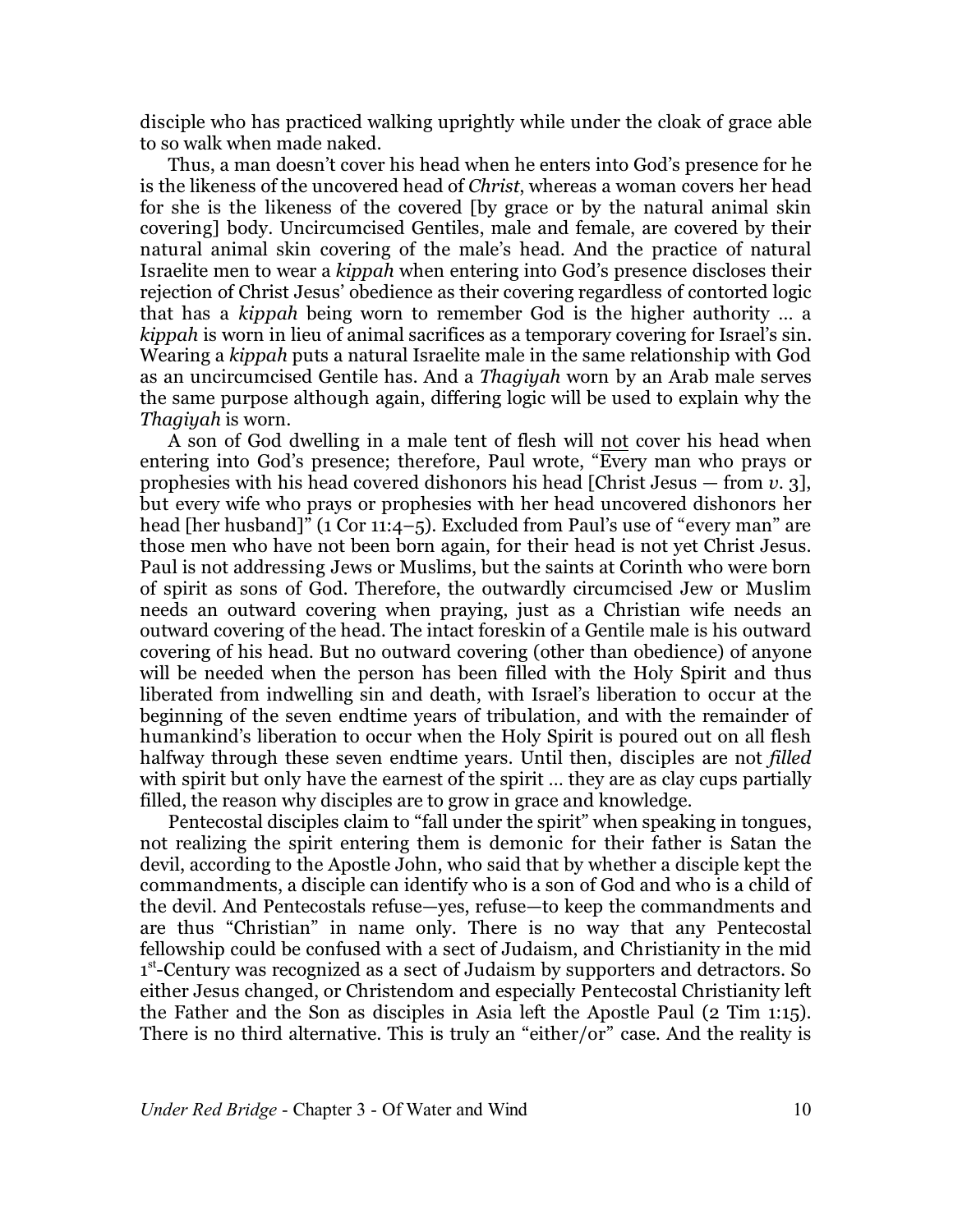disciple who has practiced walking uprightly while under the cloak of grace able to so walk when made naked.

Thus, a man doesn't cover his head when he enters into God's presence for he is the likeness of the uncovered head of *Christ*, whereas a woman covers her head for she is the likeness of the covered [by grace or by the natural animal skin covering] body. Uncircumcised Gentiles, male and female, are covered by their natural animal skin covering of the male's head. And the practice of natural Israelite men to wear a *kippah* when entering into God's presence discloses their rejection of Christ Jesus' obedience as their covering regardless of contorted logic that has a *kippah* being worn to remember God is the higher authority … a *kippah* is worn in lieu of animal sacrifices as a temporary covering for Israel's sin. Wearing a *kippah* puts a natural Israelite male in the same relationship with God as an uncircumcised Gentile has. And a *Thagiyah* worn by an Arab male serves the same purpose although again, differing logic will be used to explain why the *Thagiyah* is worn.

A son of God dwelling in a male tent of flesh will not cover his head when entering into God's presence; therefore, Paul wrote, "Every man who prays or prophesies with his head covered dishonors his head [Christ Jesus — from *v*. 3], but every wife who prays or prophesies with her head uncovered dishonors her head [her husband]" (1 Cor 11:4–5). Excluded from Paul's use of "every man" are those men who have not been born again, for their head is not yet Christ Jesus. Paul is not addressing Jews or Muslims, but the saints at Corinth who were born of spirit as sons of God. Therefore, the outwardly circumcised Jew or Muslim needs an outward covering when praying, just as a Christian wife needs an outward covering of the head. The intact foreskin of a Gentile male is his outward covering of his head. But no outward covering (other than obedience) of anyone will be needed when the person has been filled with the Holy Spirit and thus liberated from indwelling sin and death, with Israel's liberation to occur at the beginning of the seven endtime years of tribulation, and with the remainder of humankind's liberation to occur when the Holy Spirit is poured out on all flesh halfway through these seven endtime years. Until then, disciples are not *filled* with spirit but only have the earnest of the spirit … they are as clay cups partially filled, the reason why disciples are to grow in grace and knowledge.

Pentecostal disciples claim to "fall under the spirit" when speaking in tongues, not realizing the spirit entering them is demonic for their father is Satan the devil, according to the Apostle John, who said that by whether a disciple kept the commandments, a disciple can identify who is a son of God and who is a child of the devil. And Pentecostals refuse—yes, refuse—to keep the commandments and are thus "Christian" in name only. There is no way that any Pentecostal fellowship could be confused with a sect of Judaism, and Christianity in the mid 1<sup>st</sup>-Century was recognized as a sect of Judaism by supporters and detractors. So either Jesus changed, or Christendom and especially Pentecostal Christianity left the Father and the Son as disciples in Asia left the Apostle Paul (2 Tim 1:15). There is no third alternative. This is truly an "either/or" case. And the reality is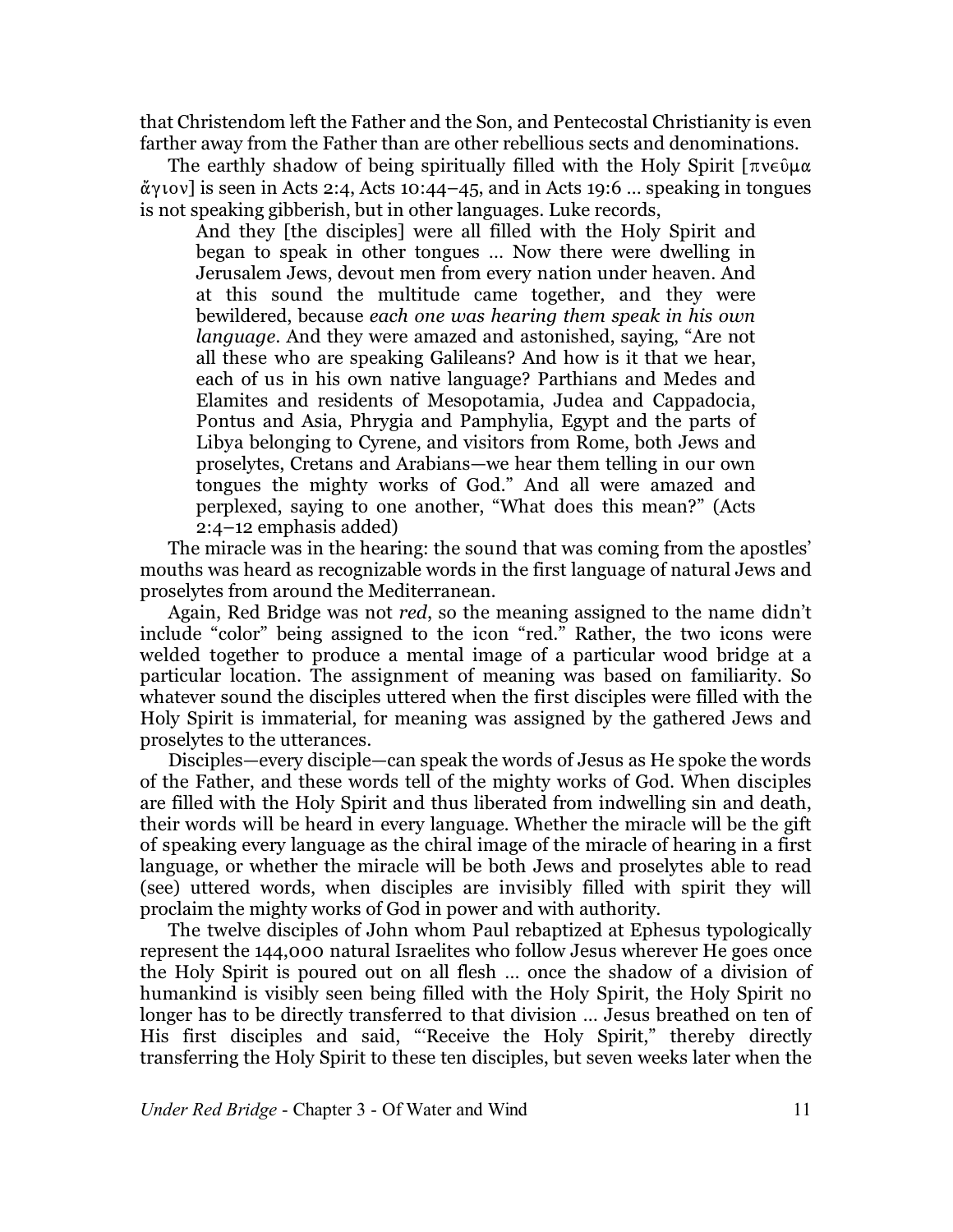that Christendom left the Father and the Son, and Pentecostal Christianity is even farther away from the Father than are other rebellious sects and denominations.

The earthly shadow of being spiritually filled with the Holy Spirit  $\lceil \pi v \in \mathfrak{g} \rceil_{\alpha}$  $\alpha$ y ( $\alpha$ ) is seen in Acts 2:4, Acts 10:44–45, and in Acts 19:6 ... speaking in tongues is not speaking gibberish, but in other languages. Luke records,

And they [the disciples] were all filled with the Holy Spirit and began to speak in other tongues … Now there were dwelling in Jerusalem Jews, devout men from every nation under heaven. And at this sound the multitude came together, and they were bewildered, because *each one was hearing them speak in his own language*. And they were amazed and astonished, saying, "Are not all these who are speaking Galileans? And how is it that we hear, each of us in his own native language? Parthians and Medes and Elamites and residents of Mesopotamia, Judea and Cappadocia, Pontus and Asia, Phrygia and Pamphylia, Egypt and the parts of Libya belonging to Cyrene, and visitors from Rome, both Jews and proselytes, Cretans and Arabians—we hear them telling in our own tongues the mighty works of God." And all were amazed and perplexed, saying to one another, "What does this mean?" (Acts 2:4–12 emphasis added)

The miracle was in the hearing: the sound that was coming from the apostles' mouths was heard as recognizable words in the first language of natural Jews and proselytes from around the Mediterranean.

Again, Red Bridge was not *red*, so the meaning assigned to the name didn't include "color" being assigned to the icon "red." Rather, the two icons were welded together to produce a mental image of a particular wood bridge at a particular location. The assignment of meaning was based on familiarity. So whatever sound the disciples uttered when the first disciples were filled with the Holy Spirit is immaterial, for meaning was assigned by the gathered Jews and proselytes to the utterances.

Disciples—every disciple—can speak the words of Jesus as He spoke the words of the Father, and these words tell of the mighty works of God. When disciples are filled with the Holy Spirit and thus liberated from indwelling sin and death, their words will be heard in every language. Whether the miracle will be the gift of speaking every language as the chiral image of the miracle of hearing in a first language, or whether the miracle will be both Jews and proselytes able to read (see) uttered words, when disciples are invisibly filled with spirit they will proclaim the mighty works of God in power and with authority.

The twelve disciples of John whom Paul rebaptized at Ephesus typologically represent the 144,000 natural Israelites who follow Jesus wherever He goes once the Holy Spirit is poured out on all flesh … once the shadow of a division of humankind is visibly seen being filled with the Holy Spirit, the Holy Spirit no longer has to be directly transferred to that division … Jesus breathed on ten of His first disciples and said, "'Receive the Holy Spirit," thereby directly transferring the Holy Spirit to these ten disciples, but seven weeks later when the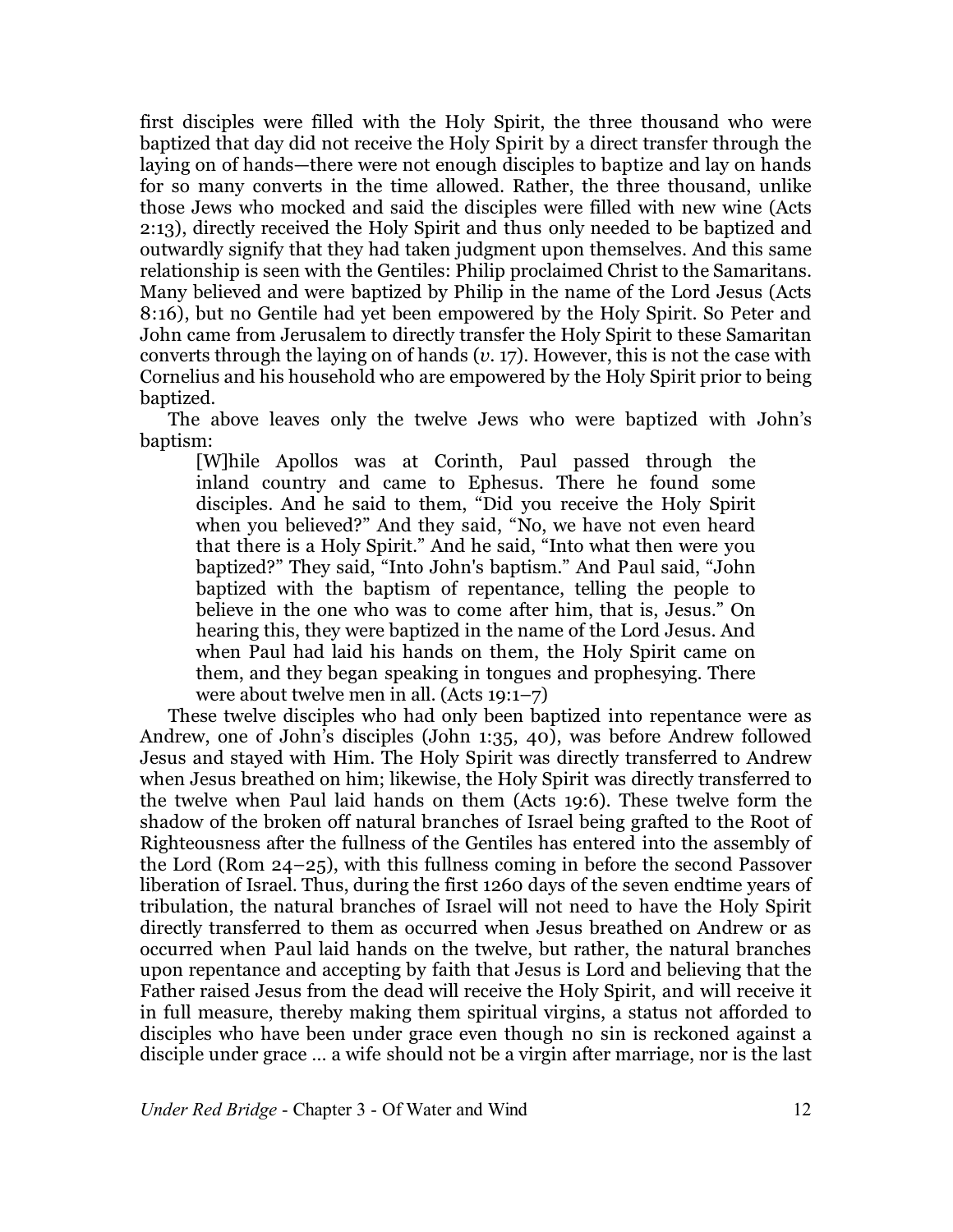first disciples were filled with the Holy Spirit, the three thousand who were baptized that day did not receive the Holy Spirit by a direct transfer through the laying on of hands—there were not enough disciples to baptize and lay on hands for so many converts in the time allowed. Rather, the three thousand, unlike those Jews who mocked and said the disciples were filled with new wine (Acts 2:13), directly received the Holy Spirit and thus only needed to be baptized and outwardly signify that they had taken judgment upon themselves. And this same relationship is seen with the Gentiles: Philip proclaimed Christ to the Samaritans. Many believed and were baptized by Philip in the name of the Lord Jesus (Acts 8:16), but no Gentile had yet been empowered by the Holy Spirit. So Peter and John came from Jerusalem to directly transfer the Holy Spirit to these Samaritan converts through the laying on of hands (*v*. 17). However, this is not the case with Cornelius and his household who are empowered by the Holy Spirit prior to being baptized.

The above leaves only the twelve Jews who were baptized with John's baptism:

[W]hile Apollos was at Corinth, Paul passed through the inland country and came to Ephesus. There he found some disciples. And he said to them, "Did you receive the Holy Spirit when you believed?" And they said, "No, we have not even heard that there is a Holy Spirit." And he said, "Into what then were you baptized?" They said, "Into John's baptism." And Paul said, "John baptized with the baptism of repentance, telling the people to believe in the one who was to come after him, that is, Jesus." On hearing this, they were baptized in the name of the Lord Jesus. And when Paul had laid his hands on them, the Holy Spirit came on them, and they began speaking in tongues and prophesying. There were about twelve men in all. (Acts 19:1–7)

These twelve disciples who had only been baptized into repentance were as Andrew, one of John's disciples (John 1:35, 40), was before Andrew followed Jesus and stayed with Him. The Holy Spirit was directly transferred to Andrew when Jesus breathed on him; likewise, the Holy Spirit was directly transferred to the twelve when Paul laid hands on them (Acts 19:6). These twelve form the shadow of the broken off natural branches of Israel being grafted to the Root of Righteousness after the fullness of the Gentiles has entered into the assembly of the Lord (Rom 24–25), with this fullness coming in before the second Passover liberation of Israel. Thus, during the first 1260 days of the seven endtime years of tribulation, the natural branches of Israel will not need to have the Holy Spirit directly transferred to them as occurred when Jesus breathed on Andrew or as occurred when Paul laid hands on the twelve, but rather, the natural branches upon repentance and accepting by faith that Jesus is Lord and believing that the Father raised Jesus from the dead will receive the Holy Spirit, and will receive it in full measure, thereby making them spiritual virgins, a status not afforded to disciples who have been under grace even though no sin is reckoned against a disciple under grace … a wife should not be a virgin after marriage, nor is the last